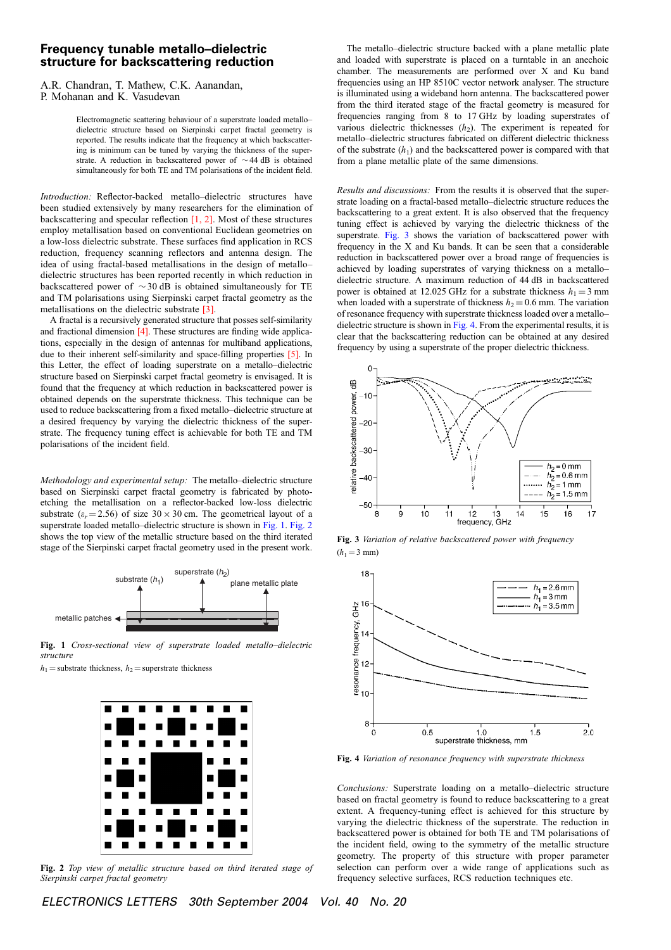## Frequency tunable metallo–dielectric structure for backscattering reduction

A.R. Chandran, T. Mathew, C.K. Aanandan, P. Mohanan and K. Vasudevan

> Electromagnetic scattering behaviour of a superstrate loaded metallo– dielectric structure based on Sierpinski carpet fractal geometry is reported. The results indicate that the frequency at which backscattering is minimum can be tuned by varying the thickness of the superstrate. A reduction in backscattered power of  $\sim$  44 dB is obtained simultaneously for both TE and TM polarisations of the incident field.

Introduction: Reflector-backed metallo–dielectric structures have been studied extensively by many researchers for the elimination of backscattering and specular reflection [1, 2]. Most of these structures employ metallisation based on conventional Euclidean geometries on a low-loss dielectric substrate. These surfaces find application in RCS reduction, frequency scanning reflectors and antenna design. The idea of using fractal-based metallisations in the design of metallo– dielectric structures has been reported recently in which reduction in backscattered power of  $\sim$  30 dB is obtained simultaneously for TE and TM polarisations using Sierpinski carpet fractal geometry as the metallisations on the dielectric substrate [3].

A fractal is a recursively generated structure that posses self-similarity and fractional dimension [4]. These structures are finding wide applications, especially in the design of antennas for multiband applications, due to their inherent self-similarity and space-filling properties [5]. In this Letter, the effect of loading superstrate on a metallo–dielectric structure based on Sierpinski carpet fractal geometry is envisaged. It is found that the frequency at which reduction in backscattered power is obtained depends on the superstrate thickness. This technique can be used to reduce backscattering from a fixed metallo–dielectric structure at a desired frequency by varying the dielectric thickness of the superstrate. The frequency tuning effect is achievable for both TE and TM polarisations of the incident field.

Methodology and experimental setup: The metallo–dielectric structure based on Sierpinski carpet fractal geometry is fabricated by photoetching the metallisation on a reflector-backed low-loss dielectric substrate  $(\varepsilon_r = 2.56)$  of size  $30 \times 30$  cm. The geometrical layout of a superstrate loaded metallo–dielectric structure is shown in Fig. 1. Fig. 2 shows the top view of the metallic structure based on the third iterated stage of the Sierpinski carpet fractal geometry used in the present work.



Fig. 1 Cross-sectional view of superstrate loaded metallo–dielectric structure

 $h_1$  = substrate thickness,  $h_2$  = superstrate thickness



Fig. 2 Top view of metallic structure based on third iterated stage of Sierpinski carpet fractal geometry

The metallo–dielectric structure backed with a plane metallic plate and loaded with superstrate is placed on a turntable in an anechoic chamber. The measurements are performed over X and Ku band frequencies using an HP 8510C vector network analyser. The structure is illuminated using a wideband horn antenna. The backscattered power from the third iterated stage of the fractal geometry is measured for frequencies ranging from 8 to 17 GHz by loading superstrates of various dielectric thicknesses  $(h_2)$ . The experiment is repeated for metallo–dielectric structures fabricated on different dielectric thickness of the substrate  $(h_1)$  and the backscattered power is compared with that from a plane metallic plate of the same dimensions.

Results and discussions: From the results it is observed that the superstrate loading on a fractal-based metallo–dielectric structure reduces the backscattering to a great extent. It is also observed that the frequency tuning effect is achieved by varying the dielectric thickness of the superstrate. Fig. 3 shows the variation of backscattered power with frequency in the X and Ku bands. It can be seen that a considerable reduction in backscattered power over a broad range of frequencies is achieved by loading superstrates of varying thickness on a metallo– dielectric structure. A maximum reduction of 44 dB in backscattered power is obtained at 12.025 GHz for a substrate thickness  $h_1 = 3$  mm when loaded with a superstrate of thickness  $h_2 = 0.6$  mm. The variation of resonance frequency with superstrate thickness loaded over a metallo– dielectric structure is shown in Fig. 4. From the experimental results, it is clear that the backscattering reduction can be obtained at any desired frequency by using a superstrate of the proper dielectric thickness.



Fig. 3 Variation of relative backscattered power with frequency  $(h_1 = 3$  mm)



Fig. 4 Variation of resonance frequency with superstrate thickness

Conclusions: Superstrate loading on a metallo–dielectric structure based on fractal geometry is found to reduce backscattering to a great extent. A frequency-tuning effect is achieved for this structure by varying the dielectric thickness of the superstrate. The reduction in backscattered power is obtained for both TE and TM polarisations of the incident field, owing to the symmetry of the metallic structure geometry. The property of this structure with proper parameter selection can perform over a wide range of applications such as frequency selective surfaces, RCS reduction techniques etc.